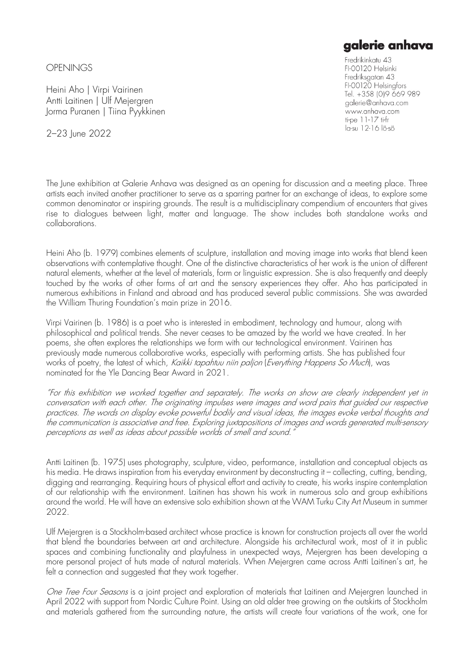**OPENINGS** 

Heini Aho | Virpi Vairinen Antti Laitinen | Ulf Mejergren Jorma Puranen | Tiina Pyykkinen

2–23 June 2022

## The June exhibition at Galerie Anhava was designed as an opening for discussion and a meeting place. Three artists each invited another practitioner to serve as a sparring partner for an exchange of ideas, to explore some common denominator or inspiring grounds. The result is a multidisciplinary compendium of encounters that gives rise to dialogues between light, matter and language. The show includes both standalone works and collaborations.

Heini Aho (b. 1979) combines elements of sculpture, installation and moving image into works that blend keen observations with contemplative thought. One of the distinctive characteristics of her work is the union of different natural elements, whether at the level of materials, form or linguistic expression. She is also frequently and deeply touched by the works of other forms of art and the sensory experiences they offer. Aho has participated in numerous exhibitions in Finland and abroad and has produced several public commissions. She was awarded the William Thuring Foundation's main prize in 2016.

Virpi Vairinen (b. 1986) is a poet who is interested in embodiment, technology and humour, along with philosophical and political trends. She never ceases to be amazed by the world we have created. In her poems, she often explores the relationships we form with our technological environment. Vairinen has previously made numerous collaborative works, especially with performing artists. She has published four works of poetry, the latest of which, Kaikki tapahtuu niin paljon (Everything Happens So Much), was nominated for the Yle Dancing Bear Award in 2021.

"For this exhibition we worked together and separately. The works on show are clearly independent yet in conversation with each other. The originating impulses were images and word pairs that guided our respective practices. The words on display evoke powerful bodily and visual ideas, the images evoke verbal thoughts and the communication is associative and free. Exploring juxtapositions of images and words generated multi-sensory perceptions as well as ideas about possible worlds of smell and sound."

Antti Laitinen (b. 1975) uses photography, sculpture, video, performance, installation and conceptual objects as his media. He draws inspiration from his everyday environment by deconstructing it – collecting, cutting, bending, digging and rearranging. Requiring hours of physical effort and activity to create, his works inspire contemplation of our relationship with the environment. Laitinen has shown his work in numerous solo and group exhibitions around the world. He will have an extensive solo exhibition shown at the WAM Turku City Art Museum in summer 2022.

Ulf Mejergren is a Stockholm-based architect whose practice is known for construction projects all over the world that blend the boundaries between art and architecture. Alongside his architectural work, most of it in public spaces and combining functionality and playfulness in unexpected ways, Mejergren has been developing a more personal project of huts made of natural materials. When Mejergren came across Antti Laitinen's art, he felt a connection and suggested that they work together.

One Tree Four Seasons is a joint project and exploration of materials that Laitinen and Mejergren launched in April 2022 with support from Nordic Culture Point. Using an old alder tree growing on the outskirts of Stockholm and materials gathered from the surrounding nature, the artists will create four variations of the work, one for

## galerie anhava

Fredrikinkatu 43 FI-00120 Helsinki Fredriksgatan 43 FI-00120 Helsingfors Tel. +358 (0)9 669 989 galerie@anhava.com www.anhava.com ti-pe 11-17 ti-fr la-su 12-16 lö-sö